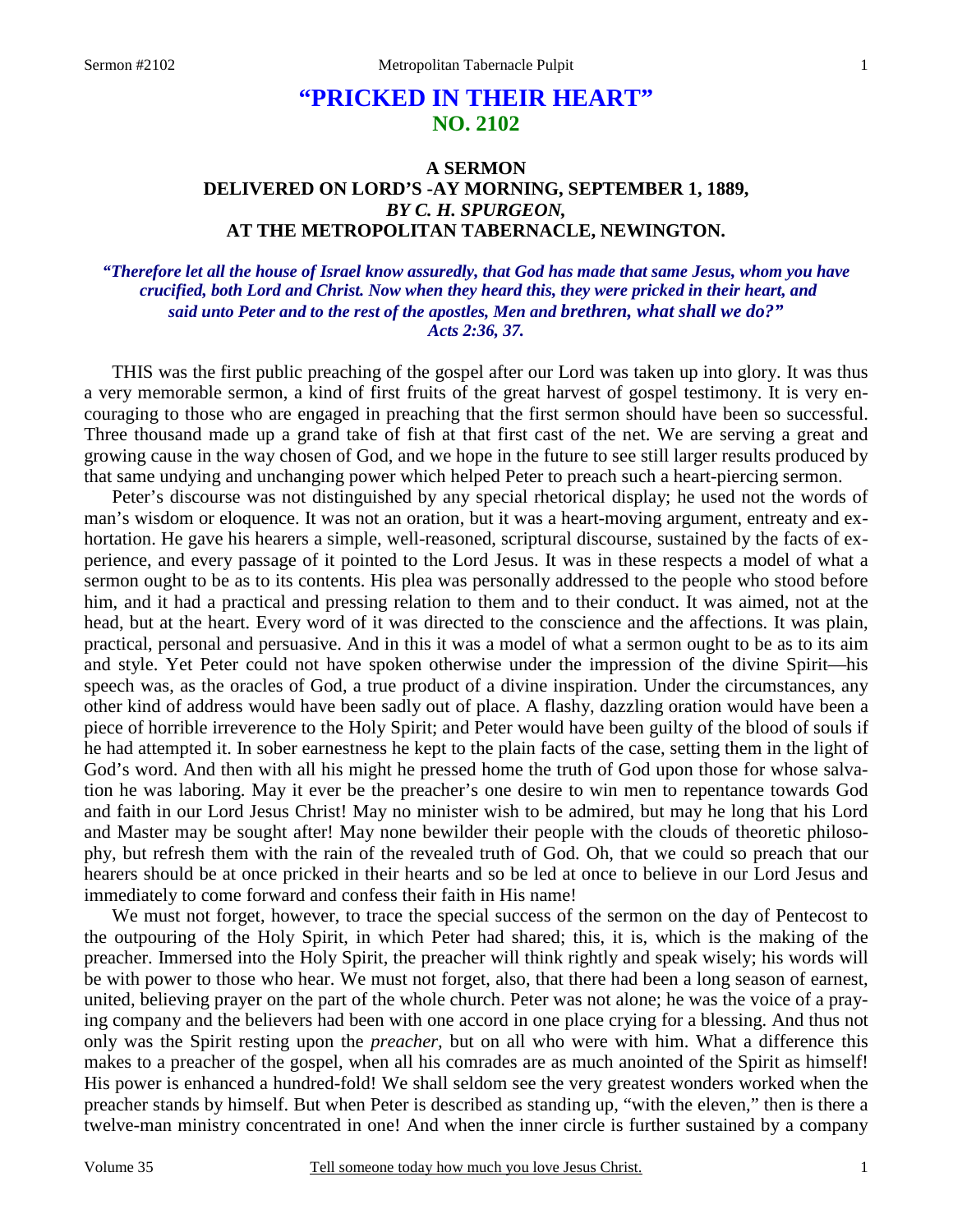# **"PRICKED IN THEIR HEART" NO. 2102**

## **A SERMON DELIVERED ON LORD'S -AY MORNING, SEPTEMBER 1, 1889,** *BY C. H. SPURGEON,*  **AT THE METROPOLITAN TABERNACLE, NEWINGTON.**

### *"Therefore let all the house of Israel know assuredly, that God has made that same Jesus, whom you have crucified, both Lord and Christ. Now when they heard this, they were pricked in their heart, and said unto Peter and to the rest of the apostles, Men and brethren, what shall we do?" Acts 2:36, 37.*

THIS was the first public preaching of the gospel after our Lord was taken up into glory. It was thus a very memorable sermon, a kind of first fruits of the great harvest of gospel testimony. It is very encouraging to those who are engaged in preaching that the first sermon should have been so successful. Three thousand made up a grand take of fish at that first cast of the net. We are serving a great and growing cause in the way chosen of God, and we hope in the future to see still larger results produced by that same undying and unchanging power which helped Peter to preach such a heart-piercing sermon.

Peter's discourse was not distinguished by any special rhetorical display; he used not the words of man's wisdom or eloquence. It was not an oration, but it was a heart-moving argument, entreaty and exhortation. He gave his hearers a simple, well-reasoned, scriptural discourse, sustained by the facts of experience, and every passage of it pointed to the Lord Jesus. It was in these respects a model of what a sermon ought to be as to its contents. His plea was personally addressed to the people who stood before him, and it had a practical and pressing relation to them and to their conduct. It was aimed, not at the head, but at the heart. Every word of it was directed to the conscience and the affections. It was plain, practical, personal and persuasive. And in this it was a model of what a sermon ought to be as to its aim and style. Yet Peter could not have spoken otherwise under the impression of the divine Spirit—his speech was, as the oracles of God, a true product of a divine inspiration. Under the circumstances, any other kind of address would have been sadly out of place. A flashy, dazzling oration would have been a piece of horrible irreverence to the Holy Spirit; and Peter would have been guilty of the blood of souls if he had attempted it. In sober earnestness he kept to the plain facts of the case, setting them in the light of God's word. And then with all his might he pressed home the truth of God upon those for whose salvation he was laboring. May it ever be the preacher's one desire to win men to repentance towards God and faith in our Lord Jesus Christ! May no minister wish to be admired, but may he long that his Lord and Master may be sought after! May none bewilder their people with the clouds of theoretic philosophy, but refresh them with the rain of the revealed truth of God. Oh, that we could so preach that our hearers should be at once pricked in their hearts and so be led at once to believe in our Lord Jesus and immediately to come forward and confess their faith in His name!

We must not forget, however, to trace the special success of the sermon on the day of Pentecost to the outpouring of the Holy Spirit, in which Peter had shared; this, it is, which is the making of the preacher. Immersed into the Holy Spirit, the preacher will think rightly and speak wisely; his words will be with power to those who hear. We must not forget, also, that there had been a long season of earnest, united, believing prayer on the part of the whole church. Peter was not alone; he was the voice of a praying company and the believers had been with one accord in one place crying for a blessing. And thus not only was the Spirit resting upon the *preacher,* but on all who were with him. What a difference this makes to a preacher of the gospel, when all his comrades are as much anointed of the Spirit as himself! His power is enhanced a hundred-fold! We shall seldom see the very greatest wonders worked when the preacher stands by himself. But when Peter is described as standing up, "with the eleven," then is there a twelve-man ministry concentrated in one! And when the inner circle is further sustained by a company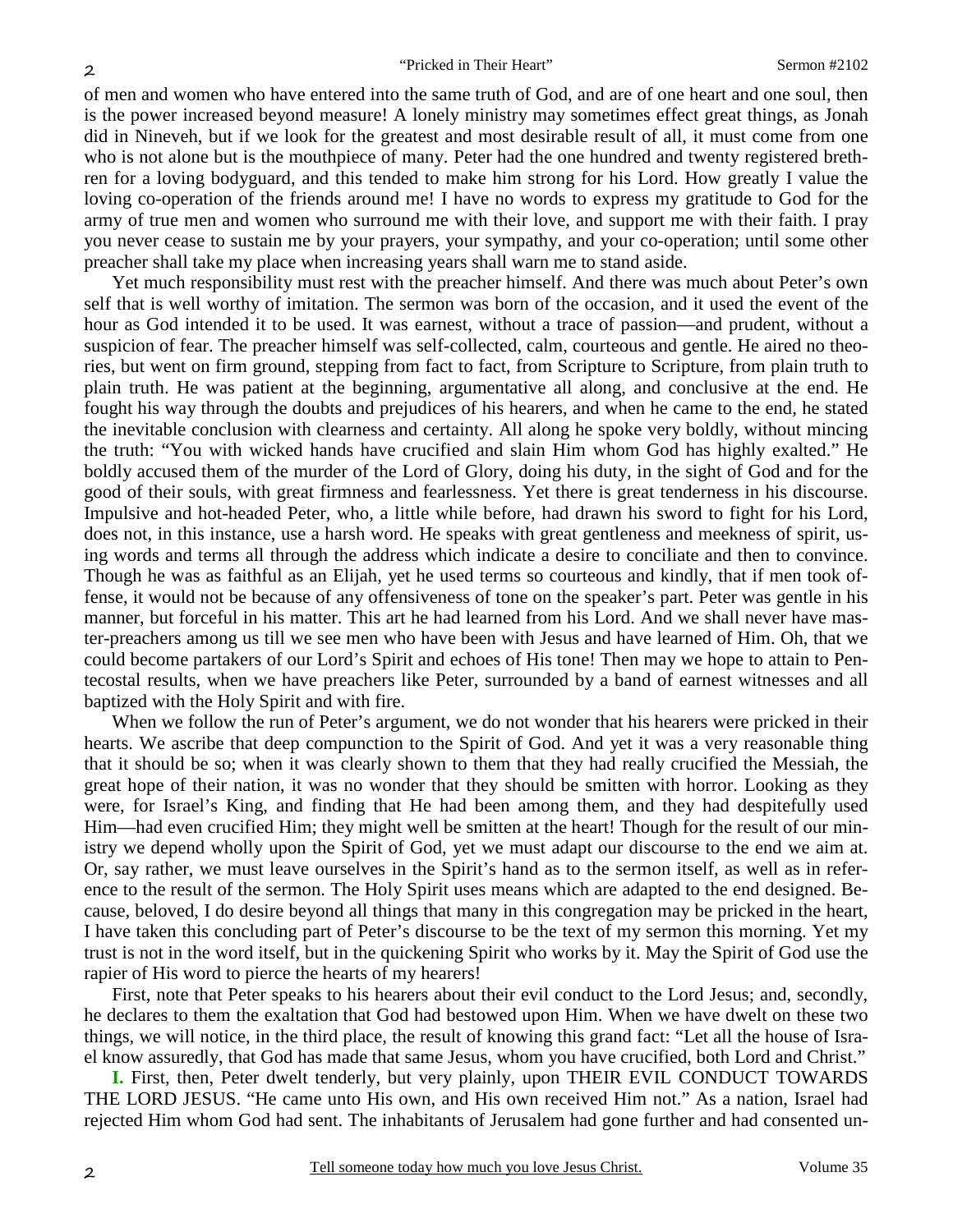of men and women who have entered into the same truth of God, and are of one heart and one soul, then is the power increased beyond measure! A lonely ministry may sometimes effect great things, as Jonah did in Nineveh, but if we look for the greatest and most desirable result of all, it must come from one who is not alone but is the mouthpiece of many. Peter had the one hundred and twenty registered brethren for a loving bodyguard, and this tended to make him strong for his Lord. How greatly I value the loving co-operation of the friends around me! I have no words to express my gratitude to God for the army of true men and women who surround me with their love, and support me with their faith. I pray you never cease to sustain me by your prayers, your sympathy, and your co-operation; until some other preacher shall take my place when increasing years shall warn me to stand aside.

Yet much responsibility must rest with the preacher himself. And there was much about Peter's own self that is well worthy of imitation. The sermon was born of the occasion, and it used the event of the hour as God intended it to be used. It was earnest, without a trace of passion—and prudent, without a suspicion of fear. The preacher himself was self-collected, calm, courteous and gentle. He aired no theories, but went on firm ground, stepping from fact to fact, from Scripture to Scripture, from plain truth to plain truth. He was patient at the beginning, argumentative all along, and conclusive at the end. He fought his way through the doubts and prejudices of his hearers, and when he came to the end, he stated the inevitable conclusion with clearness and certainty. All along he spoke very boldly, without mincing the truth: "You with wicked hands have crucified and slain Him whom God has highly exalted." He boldly accused them of the murder of the Lord of Glory, doing his duty, in the sight of God and for the good of their souls, with great firmness and fearlessness. Yet there is great tenderness in his discourse. Impulsive and hot-headed Peter, who, a little while before, had drawn his sword to fight for his Lord, does not, in this instance, use a harsh word. He speaks with great gentleness and meekness of spirit, using words and terms all through the address which indicate a desire to conciliate and then to convince. Though he was as faithful as an Elijah, yet he used terms so courteous and kindly, that if men took offense, it would not be because of any offensiveness of tone on the speaker's part. Peter was gentle in his manner, but forceful in his matter. This art he had learned from his Lord. And we shall never have master-preachers among us till we see men who have been with Jesus and have learned of Him. Oh, that we could become partakers of our Lord's Spirit and echoes of His tone! Then may we hope to attain to Pentecostal results, when we have preachers like Peter, surrounded by a band of earnest witnesses and all baptized with the Holy Spirit and with fire.

When we follow the run of Peter's argument, we do not wonder that his hearers were pricked in their hearts. We ascribe that deep compunction to the Spirit of God. And yet it was a very reasonable thing that it should be so; when it was clearly shown to them that they had really crucified the Messiah, the great hope of their nation, it was no wonder that they should be smitten with horror. Looking as they were, for Israel's King, and finding that He had been among them, and they had despitefully used Him—had even crucified Him; they might well be smitten at the heart! Though for the result of our ministry we depend wholly upon the Spirit of God, yet we must adapt our discourse to the end we aim at. Or, say rather, we must leave ourselves in the Spirit's hand as to the sermon itself, as well as in reference to the result of the sermon. The Holy Spirit uses means which are adapted to the end designed. Because, beloved, I do desire beyond all things that many in this congregation may be pricked in the heart, I have taken this concluding part of Peter's discourse to be the text of my sermon this morning. Yet my trust is not in the word itself, but in the quickening Spirit who works by it. May the Spirit of God use the rapier of His word to pierce the hearts of my hearers!

First, note that Peter speaks to his hearers about their evil conduct to the Lord Jesus; and, secondly, he declares to them the exaltation that God had bestowed upon Him. When we have dwelt on these two things, we will notice, in the third place, the result of knowing this grand fact: "Let all the house of Israel know assuredly, that God has made that same Jesus, whom you have crucified, both Lord and Christ."

**I.** First, then, Peter dwelt tenderly, but very plainly, upon THEIR EVIL CONDUCT TOWARDS THE LORD JESUS. "He came unto His own, and His own received Him not." As a nation, Israel had rejected Him whom God had sent. The inhabitants of Jerusalem had gone further and had consented un-

2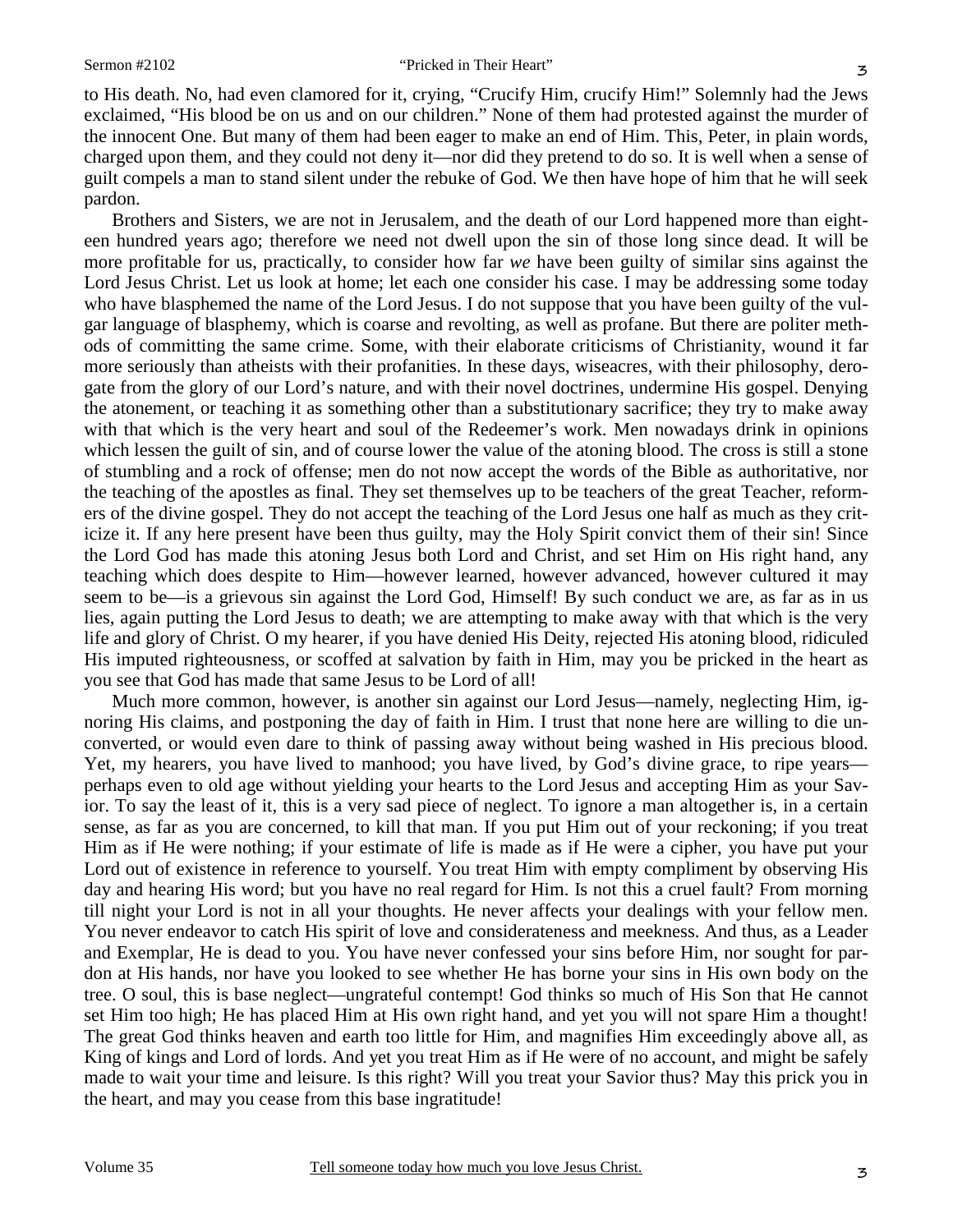to His death. No, had even clamored for it, crying, "Crucify Him, crucify Him!" Solemnly had the Jews exclaimed, "His blood be on us and on our children." None of them had protested against the murder of the innocent One. But many of them had been eager to make an end of Him. This, Peter, in plain words, charged upon them, and they could not deny it—nor did they pretend to do so. It is well when a sense of guilt compels a man to stand silent under the rebuke of God. We then have hope of him that he will seek pardon.

Brothers and Sisters, we are not in Jerusalem, and the death of our Lord happened more than eighteen hundred years ago; therefore we need not dwell upon the sin of those long since dead. It will be more profitable for us, practically, to consider how far *we* have been guilty of similar sins against the Lord Jesus Christ. Let us look at home; let each one consider his case. I may be addressing some today who have blasphemed the name of the Lord Jesus. I do not suppose that you have been guilty of the vulgar language of blasphemy, which is coarse and revolting, as well as profane. But there are politer methods of committing the same crime. Some, with their elaborate criticisms of Christianity, wound it far more seriously than atheists with their profanities. In these days, wiseacres, with their philosophy, derogate from the glory of our Lord's nature, and with their novel doctrines, undermine His gospel. Denying the atonement, or teaching it as something other than a substitutionary sacrifice; they try to make away with that which is the very heart and soul of the Redeemer's work. Men nowadays drink in opinions which lessen the guilt of sin, and of course lower the value of the atoning blood. The cross is still a stone of stumbling and a rock of offense; men do not now accept the words of the Bible as authoritative, nor the teaching of the apostles as final. They set themselves up to be teachers of the great Teacher, reformers of the divine gospel. They do not accept the teaching of the Lord Jesus one half as much as they criticize it. If any here present have been thus guilty, may the Holy Spirit convict them of their sin! Since the Lord God has made this atoning Jesus both Lord and Christ, and set Him on His right hand, any teaching which does despite to Him—however learned, however advanced, however cultured it may seem to be—is a grievous sin against the Lord God, Himself! By such conduct we are, as far as in us lies, again putting the Lord Jesus to death; we are attempting to make away with that which is the very life and glory of Christ. O my hearer, if you have denied His Deity, rejected His atoning blood, ridiculed His imputed righteousness, or scoffed at salvation by faith in Him, may you be pricked in the heart as you see that God has made that same Jesus to be Lord of all!

Much more common, however, is another sin against our Lord Jesus—namely, neglecting Him, ignoring His claims, and postponing the day of faith in Him. I trust that none here are willing to die unconverted, or would even dare to think of passing away without being washed in His precious blood. Yet, my hearers, you have lived to manhood; you have lived, by God's divine grace, to ripe years perhaps even to old age without yielding your hearts to the Lord Jesus and accepting Him as your Savior. To say the least of it, this is a very sad piece of neglect. To ignore a man altogether is, in a certain sense, as far as you are concerned, to kill that man. If you put Him out of your reckoning; if you treat Him as if He were nothing; if your estimate of life is made as if He were a cipher, you have put your Lord out of existence in reference to yourself. You treat Him with empty compliment by observing His day and hearing His word; but you have no real regard for Him. Is not this a cruel fault? From morning till night your Lord is not in all your thoughts. He never affects your dealings with your fellow men. You never endeavor to catch His spirit of love and considerateness and meekness. And thus, as a Leader and Exemplar, He is dead to you. You have never confessed your sins before Him, nor sought for pardon at His hands, nor have you looked to see whether He has borne your sins in His own body on the tree. O soul, this is base neglect—ungrateful contempt! God thinks so much of His Son that He cannot set Him too high; He has placed Him at His own right hand, and yet you will not spare Him a thought! The great God thinks heaven and earth too little for Him, and magnifies Him exceedingly above all, as King of kings and Lord of lords. And yet you treat Him as if He were of no account, and might be safely made to wait your time and leisure. Is this right? Will you treat your Savior thus? May this prick you in the heart, and may you cease from this base ingratitude!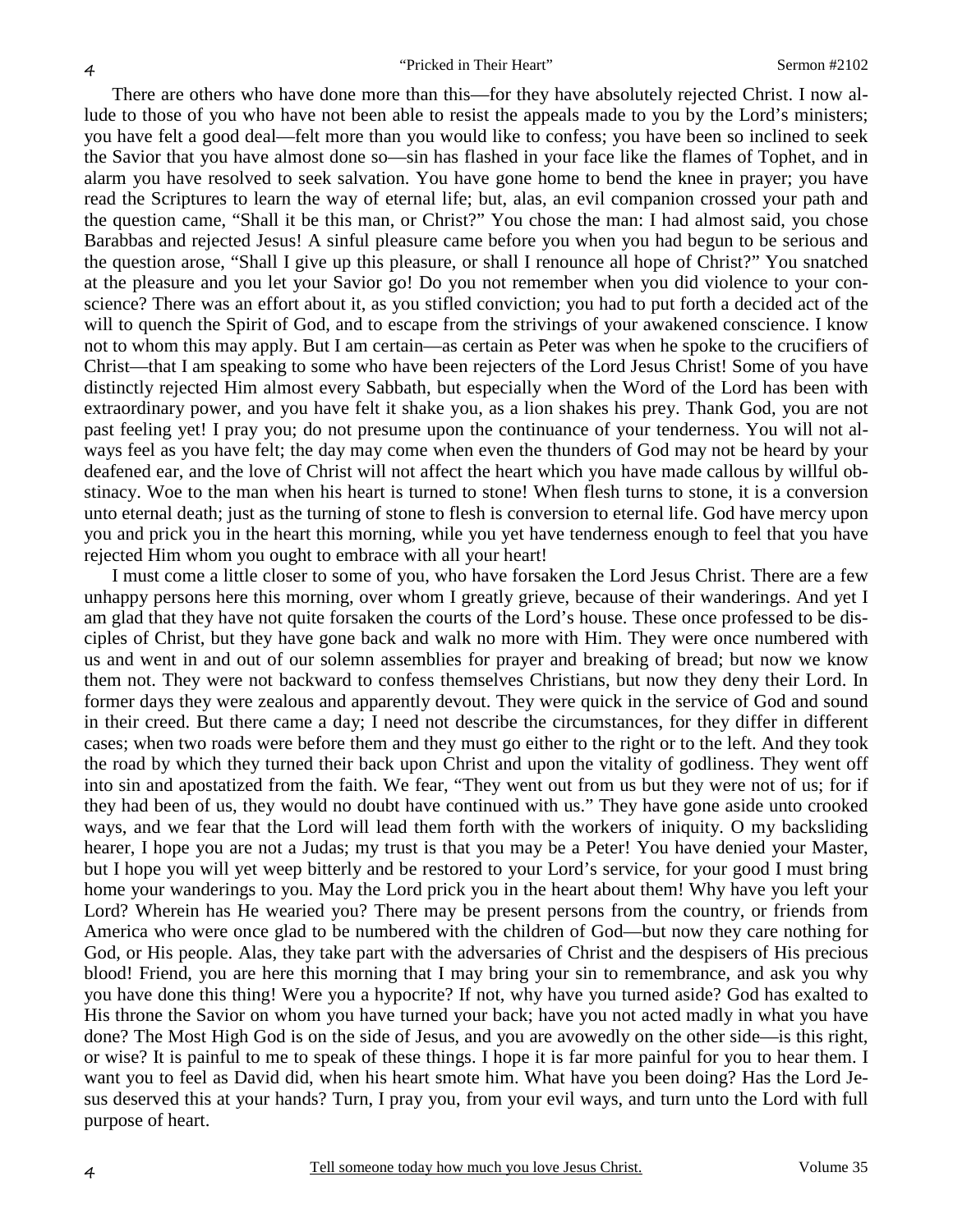There are others who have done more than this—for they have absolutely rejected Christ. I now allude to those of you who have not been able to resist the appeals made to you by the Lord's ministers; you have felt a good deal—felt more than you would like to confess; you have been so inclined to seek the Savior that you have almost done so—sin has flashed in your face like the flames of Tophet, and in alarm you have resolved to seek salvation. You have gone home to bend the knee in prayer; you have read the Scriptures to learn the way of eternal life; but, alas, an evil companion crossed your path and the question came, "Shall it be this man, or Christ?" You chose the man: I had almost said, you chose Barabbas and rejected Jesus! A sinful pleasure came before you when you had begun to be serious and the question arose, "Shall I give up this pleasure, or shall I renounce all hope of Christ?" You snatched at the pleasure and you let your Savior go! Do you not remember when you did violence to your conscience? There was an effort about it, as you stifled conviction; you had to put forth a decided act of the will to quench the Spirit of God, and to escape from the strivings of your awakened conscience. I know not to whom this may apply. But I am certain—as certain as Peter was when he spoke to the crucifiers of Christ—that I am speaking to some who have been rejecters of the Lord Jesus Christ! Some of you have distinctly rejected Him almost every Sabbath, but especially when the Word of the Lord has been with extraordinary power, and you have felt it shake you, as a lion shakes his prey. Thank God, you are not past feeling yet! I pray you; do not presume upon the continuance of your tenderness. You will not always feel as you have felt; the day may come when even the thunders of God may not be heard by your deafened ear, and the love of Christ will not affect the heart which you have made callous by willful obstinacy. Woe to the man when his heart is turned to stone! When flesh turns to stone, it is a conversion unto eternal death; just as the turning of stone to flesh is conversion to eternal life. God have mercy upon you and prick you in the heart this morning, while you yet have tenderness enough to feel that you have rejected Him whom you ought to embrace with all your heart!

I must come a little closer to some of you, who have forsaken the Lord Jesus Christ. There are a few unhappy persons here this morning, over whom I greatly grieve, because of their wanderings. And yet I am glad that they have not quite forsaken the courts of the Lord's house. These once professed to be disciples of Christ, but they have gone back and walk no more with Him. They were once numbered with us and went in and out of our solemn assemblies for prayer and breaking of bread; but now we know them not. They were not backward to confess themselves Christians, but now they deny their Lord. In former days they were zealous and apparently devout. They were quick in the service of God and sound in their creed. But there came a day; I need not describe the circumstances, for they differ in different cases; when two roads were before them and they must go either to the right or to the left. And they took the road by which they turned their back upon Christ and upon the vitality of godliness. They went off into sin and apostatized from the faith. We fear, "They went out from us but they were not of us; for if they had been of us, they would no doubt have continued with us." They have gone aside unto crooked ways, and we fear that the Lord will lead them forth with the workers of iniquity. O my backsliding hearer, I hope you are not a Judas; my trust is that you may be a Peter! You have denied your Master, but I hope you will yet weep bitterly and be restored to your Lord's service, for your good I must bring home your wanderings to you. May the Lord prick you in the heart about them! Why have you left your Lord? Wherein has He wearied you? There may be present persons from the country, or friends from America who were once glad to be numbered with the children of God—but now they care nothing for God, or His people. Alas, they take part with the adversaries of Christ and the despisers of His precious blood! Friend, you are here this morning that I may bring your sin to remembrance, and ask you why you have done this thing! Were you a hypocrite? If not, why have you turned aside? God has exalted to His throne the Savior on whom you have turned your back; have you not acted madly in what you have done? The Most High God is on the side of Jesus, and you are avowedly on the other side—is this right, or wise? It is painful to me to speak of these things. I hope it is far more painful for you to hear them. I want you to feel as David did, when his heart smote him. What have you been doing? Has the Lord Jesus deserved this at your hands? Turn, I pray you, from your evil ways, and turn unto the Lord with full purpose of heart.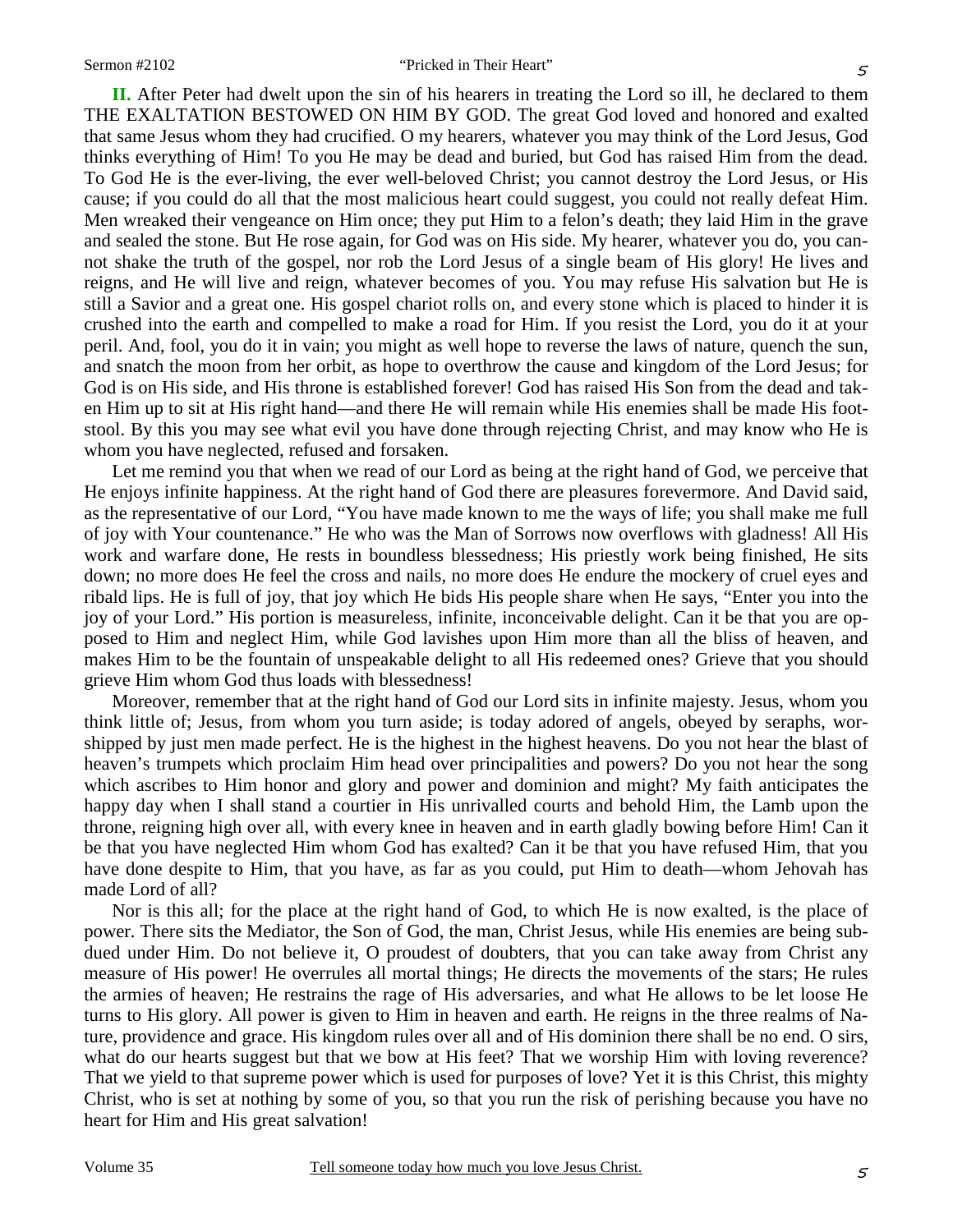**II.** After Peter had dwelt upon the sin of his hearers in treating the Lord so ill, he declared to them THE EXALTATION BESTOWED ON HIM BY GOD. The great God loved and honored and exalted that same Jesus whom they had crucified. O my hearers, whatever you may think of the Lord Jesus, God thinks everything of Him! To you He may be dead and buried, but God has raised Him from the dead. To God He is the ever-living, the ever well-beloved Christ; you cannot destroy the Lord Jesus, or His cause; if you could do all that the most malicious heart could suggest, you could not really defeat Him. Men wreaked their vengeance on Him once; they put Him to a felon's death; they laid Him in the grave and sealed the stone. But He rose again, for God was on His side. My hearer, whatever you do, you cannot shake the truth of the gospel, nor rob the Lord Jesus of a single beam of His glory! He lives and reigns, and He will live and reign, whatever becomes of you. You may refuse His salvation but He is still a Savior and a great one. His gospel chariot rolls on, and every stone which is placed to hinder it is crushed into the earth and compelled to make a road for Him. If you resist the Lord, you do it at your peril. And, fool, you do it in vain; you might as well hope to reverse the laws of nature, quench the sun, and snatch the moon from her orbit, as hope to overthrow the cause and kingdom of the Lord Jesus; for God is on His side, and His throne is established forever! God has raised His Son from the dead and taken Him up to sit at His right hand—and there He will remain while His enemies shall be made His footstool. By this you may see what evil you have done through rejecting Christ, and may know who He is whom you have neglected, refused and forsaken.

Let me remind you that when we read of our Lord as being at the right hand of God, we perceive that He enjoys infinite happiness. At the right hand of God there are pleasures forevermore. And David said, as the representative of our Lord, "You have made known to me the ways of life; you shall make me full of joy with Your countenance." He who was the Man of Sorrows now overflows with gladness! All His work and warfare done, He rests in boundless blessedness; His priestly work being finished, He sits down; no more does He feel the cross and nails, no more does He endure the mockery of cruel eyes and ribald lips. He is full of joy, that joy which He bids His people share when He says, "Enter you into the joy of your Lord." His portion is measureless, infinite, inconceivable delight. Can it be that you are opposed to Him and neglect Him, while God lavishes upon Him more than all the bliss of heaven, and makes Him to be the fountain of unspeakable delight to all His redeemed ones? Grieve that you should grieve Him whom God thus loads with blessedness!

Moreover, remember that at the right hand of God our Lord sits in infinite majesty. Jesus, whom you think little of; Jesus, from whom you turn aside; is today adored of angels, obeyed by seraphs, worshipped by just men made perfect. He is the highest in the highest heavens. Do you not hear the blast of heaven's trumpets which proclaim Him head over principalities and powers? Do you not hear the song which ascribes to Him honor and glory and power and dominion and might? My faith anticipates the happy day when I shall stand a courtier in His unrivalled courts and behold Him, the Lamb upon the throne, reigning high over all, with every knee in heaven and in earth gladly bowing before Him! Can it be that you have neglected Him whom God has exalted? Can it be that you have refused Him, that you have done despite to Him, that you have, as far as you could, put Him to death—whom Jehovah has made Lord of all?

Nor is this all; for the place at the right hand of God, to which He is now exalted, is the place of power. There sits the Mediator, the Son of God, the man, Christ Jesus, while His enemies are being subdued under Him. Do not believe it, O proudest of doubters, that you can take away from Christ any measure of His power! He overrules all mortal things; He directs the movements of the stars; He rules the armies of heaven; He restrains the rage of His adversaries, and what He allows to be let loose He turns to His glory. All power is given to Him in heaven and earth. He reigns in the three realms of Nature, providence and grace. His kingdom rules over all and of His dominion there shall be no end. O sirs, what do our hearts suggest but that we bow at His feet? That we worship Him with loving reverence? That we yield to that supreme power which is used for purposes of love? Yet it is this Christ, this mighty Christ, who is set at nothing by some of you, so that you run the risk of perishing because you have no heart for Him and His great salvation!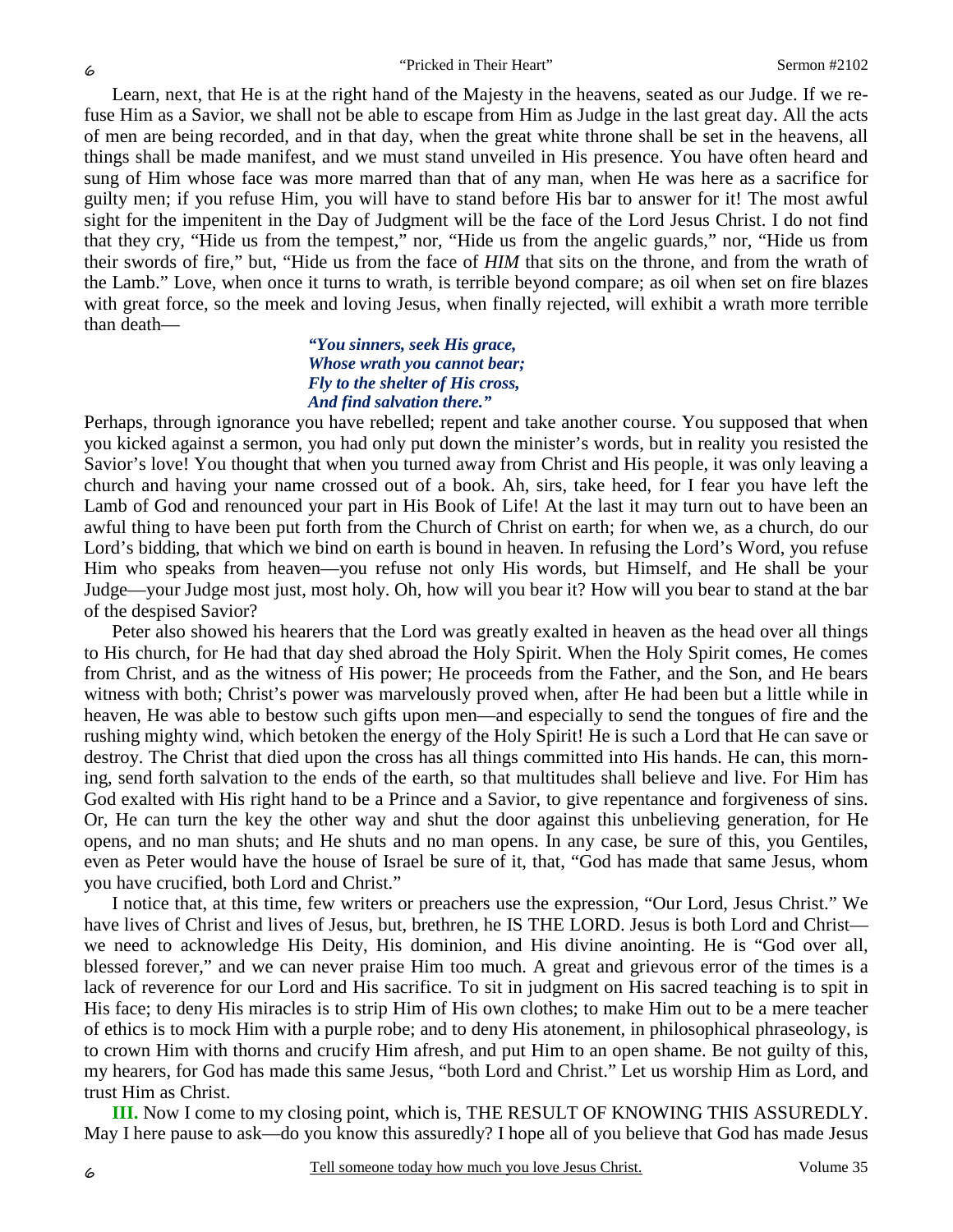Learn, next, that He is at the right hand of the Majesty in the heavens, seated as our Judge. If we refuse Him as a Savior, we shall not be able to escape from Him as Judge in the last great day. All the acts of men are being recorded, and in that day, when the great white throne shall be set in the heavens, all things shall be made manifest, and we must stand unveiled in His presence. You have often heard and sung of Him whose face was more marred than that of any man, when He was here as a sacrifice for guilty men; if you refuse Him, you will have to stand before His bar to answer for it! The most awful sight for the impenitent in the Day of Judgment will be the face of the Lord Jesus Christ. I do not find that they cry, "Hide us from the tempest," nor, "Hide us from the angelic guards," nor, "Hide us from their swords of fire," but, "Hide us from the face of *HIM* that sits on the throne, and from the wrath of the Lamb." Love, when once it turns to wrath, is terrible beyond compare; as oil when set on fire blazes with great force, so the meek and loving Jesus, when finally rejected, will exhibit a wrath more terrible than death—

#### *"You sinners, seek His grace, Whose wrath you cannot bear; Fly to the shelter of His cross, And find salvation there."*

Perhaps, through ignorance you have rebelled; repent and take another course. You supposed that when you kicked against a sermon, you had only put down the minister's words, but in reality you resisted the Savior's love! You thought that when you turned away from Christ and His people, it was only leaving a church and having your name crossed out of a book. Ah, sirs, take heed, for I fear you have left the Lamb of God and renounced your part in His Book of Life! At the last it may turn out to have been an awful thing to have been put forth from the Church of Christ on earth; for when we, as a church, do our Lord's bidding, that which we bind on earth is bound in heaven. In refusing the Lord's Word, you refuse Him who speaks from heaven—you refuse not only His words, but Himself, and He shall be your Judge—your Judge most just, most holy. Oh, how will you bear it? How will you bear to stand at the bar of the despised Savior?

Peter also showed his hearers that the Lord was greatly exalted in heaven as the head over all things to His church, for He had that day shed abroad the Holy Spirit. When the Holy Spirit comes, He comes from Christ, and as the witness of His power; He proceeds from the Father, and the Son, and He bears witness with both; Christ's power was marvelously proved when, after He had been but a little while in heaven, He was able to bestow such gifts upon men—and especially to send the tongues of fire and the rushing mighty wind, which betoken the energy of the Holy Spirit! He is such a Lord that He can save or destroy. The Christ that died upon the cross has all things committed into His hands. He can, this morning, send forth salvation to the ends of the earth, so that multitudes shall believe and live. For Him has God exalted with His right hand to be a Prince and a Savior, to give repentance and forgiveness of sins. Or, He can turn the key the other way and shut the door against this unbelieving generation, for He opens, and no man shuts; and He shuts and no man opens. In any case, be sure of this, you Gentiles, even as Peter would have the house of Israel be sure of it, that, "God has made that same Jesus, whom you have crucified, both Lord and Christ."

I notice that, at this time, few writers or preachers use the expression, "Our Lord, Jesus Christ." We have lives of Christ and lives of Jesus, but, brethren, he IS THE LORD. Jesus is both Lord and Christ we need to acknowledge His Deity, His dominion, and His divine anointing. He is "God over all, blessed forever," and we can never praise Him too much. A great and grievous error of the times is a lack of reverence for our Lord and His sacrifice. To sit in judgment on His sacred teaching is to spit in His face; to deny His miracles is to strip Him of His own clothes; to make Him out to be a mere teacher of ethics is to mock Him with a purple robe; and to deny His atonement, in philosophical phraseology, is to crown Him with thorns and crucify Him afresh, and put Him to an open shame. Be not guilty of this, my hearers, for God has made this same Jesus, "both Lord and Christ." Let us worship Him as Lord, and trust Him as Christ.

**III.** Now I come to my closing point, which is, THE RESULT OF KNOWING THIS ASSUREDLY. May I here pause to ask—do you know this assuredly? I hope all of you believe that God has made Jesus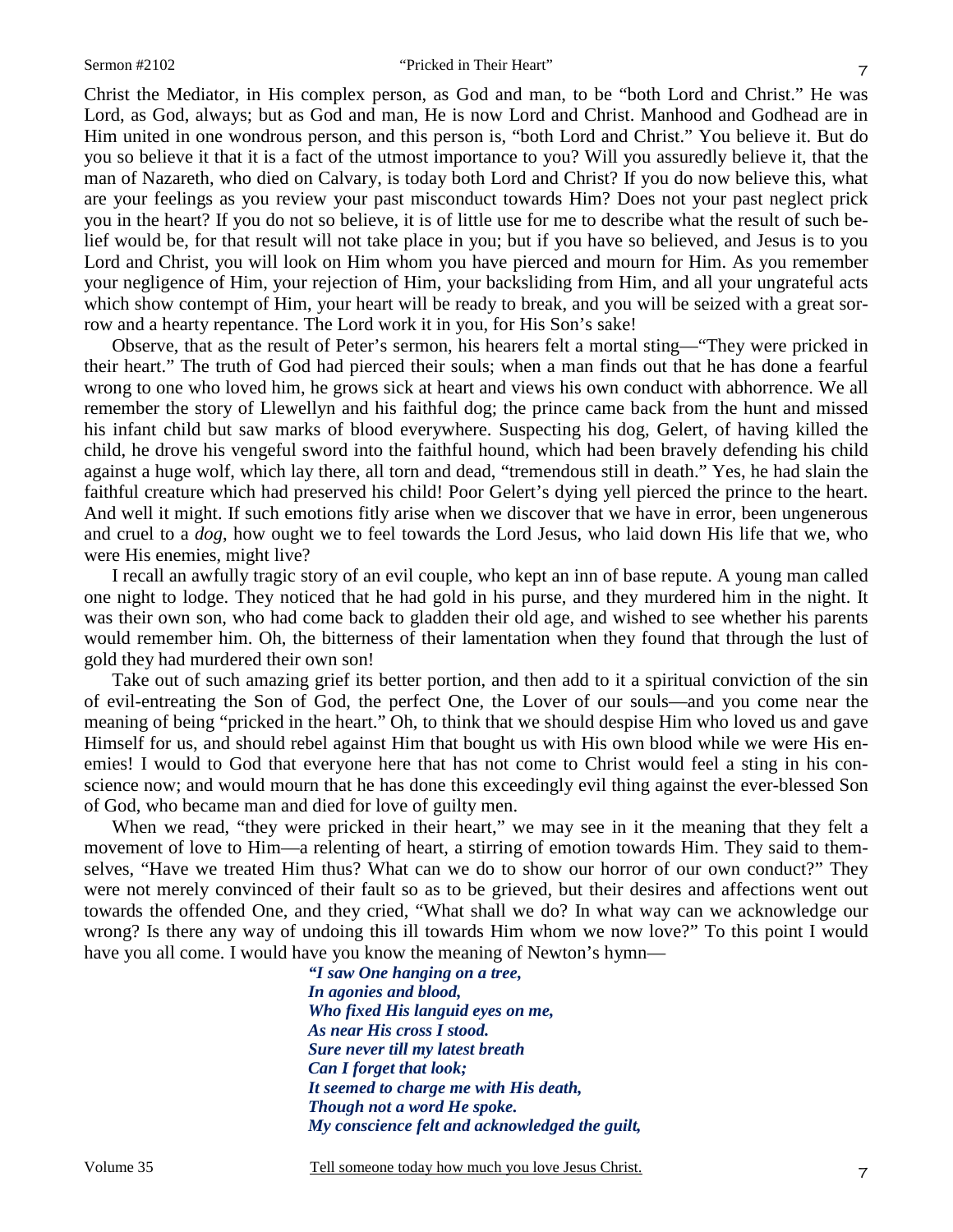Christ the Mediator, in His complex person, as God and man, to be "both Lord and Christ." He was Lord, as God, always; but as God and man, He is now Lord and Christ. Manhood and Godhead are in Him united in one wondrous person, and this person is, "both Lord and Christ." You believe it. But do you so believe it that it is a fact of the utmost importance to you? Will you assuredly believe it, that the man of Nazareth, who died on Calvary, is today both Lord and Christ? If you do now believe this, what are your feelings as you review your past misconduct towards Him? Does not your past neglect prick you in the heart? If you do not so believe, it is of little use for me to describe what the result of such belief would be, for that result will not take place in you; but if you have so believed, and Jesus is to you Lord and Christ, you will look on Him whom you have pierced and mourn for Him. As you remember your negligence of Him, your rejection of Him, your backsliding from Him, and all your ungrateful acts which show contempt of Him, your heart will be ready to break, and you will be seized with a great sorrow and a hearty repentance. The Lord work it in you, for His Son's sake!

Observe, that as the result of Peter's sermon, his hearers felt a mortal sting—"They were pricked in their heart." The truth of God had pierced their souls; when a man finds out that he has done a fearful wrong to one who loved him, he grows sick at heart and views his own conduct with abhorrence. We all remember the story of Llewellyn and his faithful dog; the prince came back from the hunt and missed his infant child but saw marks of blood everywhere. Suspecting his dog, Gelert, of having killed the child, he drove his vengeful sword into the faithful hound, which had been bravely defending his child against a huge wolf, which lay there, all torn and dead, "tremendous still in death." Yes, he had slain the faithful creature which had preserved his child! Poor Gelert's dying yell pierced the prince to the heart. And well it might. If such emotions fitly arise when we discover that we have in error, been ungenerous and cruel to a *dog*, how ought we to feel towards the Lord Jesus, who laid down His life that we, who were His enemies, might live?

I recall an awfully tragic story of an evil couple, who kept an inn of base repute. A young man called one night to lodge. They noticed that he had gold in his purse, and they murdered him in the night. It was their own son, who had come back to gladden their old age, and wished to see whether his parents would remember him. Oh, the bitterness of their lamentation when they found that through the lust of gold they had murdered their own son!

Take out of such amazing grief its better portion, and then add to it a spiritual conviction of the sin of evil-entreating the Son of God, the perfect One, the Lover of our souls—and you come near the meaning of being "pricked in the heart." Oh, to think that we should despise Him who loved us and gave Himself for us, and should rebel against Him that bought us with His own blood while we were His enemies! I would to God that everyone here that has not come to Christ would feel a sting in his conscience now; and would mourn that he has done this exceedingly evil thing against the ever-blessed Son of God, who became man and died for love of guilty men.

When we read, "they were pricked in their heart," we may see in it the meaning that they felt a movement of love to Him—a relenting of heart, a stirring of emotion towards Him. They said to themselves, "Have we treated Him thus? What can we do to show our horror of our own conduct?" They were not merely convinced of their fault so as to be grieved, but their desires and affections went out towards the offended One, and they cried, "What shall we do? In what way can we acknowledge our wrong? Is there any way of undoing this ill towards Him whom we now love?" To this point I would have you all come. I would have you know the meaning of Newton's hymn—

> *"I saw One hanging on a tree, In agonies and blood, Who fixed His languid eyes on me, As near His cross I stood. Sure never till my latest breath Can I forget that look; It seemed to charge me with His death, Though not a word He spoke. My conscience felt and acknowledged the guilt,*

Volume 35 Tell someone today how much you love Jesus Christ.